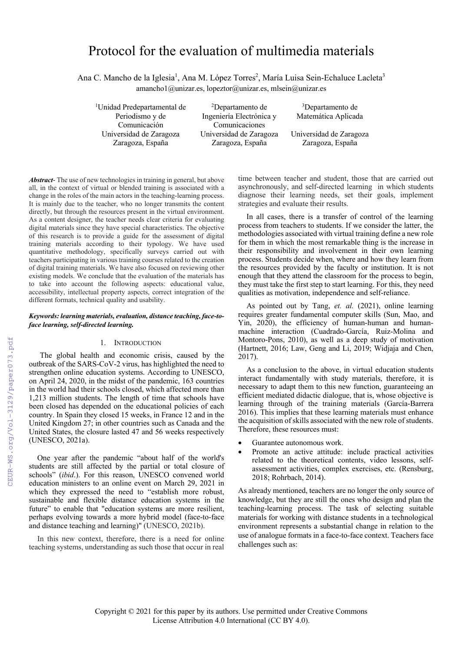# Protocol for the evaluation of multimedia materials

Ana C. Mancho de la Iglesia<sup>1</sup>, Ana M. López Torres<sup>2</sup>, María Luisa Sein-Echaluce Lacleta<sup>3</sup> amancho1@unizar.es, lopeztor@unizar.es, mlsein@unizar.es

1 Unidad Predepartamental de Periodismo y de Comunicación Universidad de Zaragoza Universidad de Zaragoza Universidad de Zaragoza

2 Departamento de Ingeniería Electrónica y Comunicaciones<br>Universidad de Zaragoza Zaragoza, España

3 Departamento de Matemática Aplicada

*Abstract*- The use of new technologies in training in general, but above all, in the context of virtual or blended training is associated with a change in the roles of the main actors in the teaching-learning process. It is mainly due to the teacher, who no longer transmits the content directly, but through the resources present in the virtual environment. As a content designer, the teacher needs clear criteria for evaluating digital materials since they have special characteristics. The objective of this research is to provide a guide for the assessment of digital training materials according to their typology. We have used quantitative methodology, specifically surveys carried out with teachers participating in various training courses related to the creation of digital training materials. We have also focused on reviewing other existing models. We conclude that the evaluation of the materials has to take into account the following aspects: educational value, accessibility, intellectual property aspects, correct integration of the different formats, technical quality and usability.

## *Keywords: learning materials, evaluation, distance teaching, face-toface learning, self-directed learning.*

# 1. INTRODUCTION

The global health and economic crisis, caused by the outbreak of the SARS-CoV-2 virus, has highlighted the need to strengthen online education systems. According to UNESCO, on April 24, 2020, in the midst of the pandemic, 163 countries in the world had their schools closed, which affected more than 1,213 million students. The length of time that schools have been closed has depended on the educational policies of each country. In Spain they closed 15 weeks, in France 12 and in the United Kingdom 27; in other countries such as Canada and the United States, the closure lasted 47 and 56 weeks respectively (UNESCO, 2021a).

One year after the pandemic "about half of the world's students are still affected by the partial or total closure of schools" (*ibid*.). For this reason, UNESCO convened world education ministers to an online event on March 29, 2021 in which they expressed the need to "establish more robust, sustainable and flexible distance education systems in the future" to enable that "education systems are more resilient, perhaps evolving towards a more hybrid model (face-to-face and distance teaching and learning)" (UNESCO, 2021b).

In this new context, therefore, there is a need for online teaching systems, understanding as such those that occur in real time between teacher and student, those that are carried out asynchronously, and self-directed learning in which students diagnose their learning needs, set their goals, implement strategies and evaluate their results.

In all cases, there is a transfer of control of the learning process from teachers to students. If we consider the latter, the methodologies associated with virtual training define a new role for them in which the most remarkable thing is the increase in their responsibility and involvement in their own learning process. Students decide when, where and how they learn from the resources provided by the faculty or institution. It is not enough that they attend the classroom for the process to begin, they must take the first step to start learning. For this, they need qualities as motivation, independence and self-reliance.

As pointed out by Tang, *et. al.* (2021), online learning requires greater fundamental computer skills (Sun, Mao, and Yin, 2020), the efficiency of human-human and humanmachine interaction (Cuadrado-García, Ruiz-Molina and Montoro-Pons, 2010), as well as a deep study of motivation (Hartnett, 2016; Law, Geng and Li, 2019; Widjaja and Chen, 2017).

As a conclusion to the above, in virtual education students interact fundamentally with study materials, therefore, it is necessary to adapt them to this new function, guaranteeing an efficient mediated didactic dialogue, that is, whose objective is learning through of the training materials (García-Barrera 2016). This implies that these learning materials must enhance the acquisition of skills associated with the new role of students. Therefore, these resources must:

- Guarantee autonomous work.
- Promote an active attitude: include practical activities related to the theoretical contents, video lessons, selfassessment activities, complex exercises, etc. (Rensburg, 2018; Rohrbach, 2014).

As already mentioned, teachers are no longer the only source of knowledge, but they are still the ones who design and plan the teaching-learning process. The task of selecting suitable materials for working with distance students in a technological environment represents a substantial change in relation to the use of analogue formats in a face-to-face context. Teachers face challenges such as: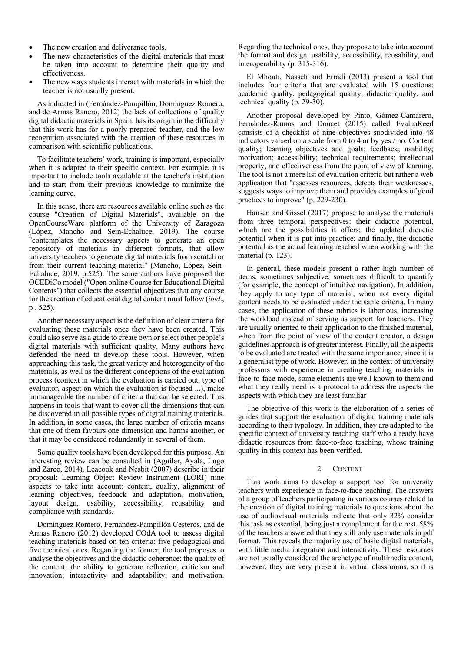- The new creation and deliverance tools.
- The new characteristics of the digital materials that must be taken into account to determine their quality and effectiveness.
- The new ways students interact with materials in which the teacher is not usually present.

As indicated in (Fernández-Pampillón, Domínguez Romero, and de Armas Ranero, 2012) the lack of collections of quality digital didactic materials in Spain, has its origin in the difficulty that this work has for a poorly prepared teacher, and the low recognition associated with the creation of these resources in comparison with scientific publications.

To facilitate teachers' work, training is important, especially when it is adapted to their specific context. For example, it is important to include tools available at the teacher's institution and to start from their previous knowledge to minimize the learning curve.

In this sense, there are resources available online such as the course "Creation of Digital Materials", available on the OpenCourseWare platform of the University of Zaragoza (López, Mancho and Sein-Echaluce, 2019). The course "contemplates the necessary aspects to generate an open repository of materials in different formats, that allow university teachers to generate digital materials from scratch or from their current teaching material" (Mancho, López, Sein-Echaluce, 2019, p.525). The same authors have proposed the OCEDiCo model ("Open online Course for Educational Digital Contents") that collects the essential objectives that any course for the creation of educational digital content must follow (*ibid*., p . 525).

Another necessary aspect is the definition of clear criteria for evaluating these materials once they have been created. This could also serve as a guide to create own or select other people's digital materials with sufficient quality. Many authors have defended the need to develop these tools. However, when approaching this task, the great variety and heterogeneity of the materials, as well as the different conceptions of the evaluation process (context in which the evaluation is carried out, type of evaluator, aspect on which the evaluation is focused ...), make unmanageable the number of criteria that can be selected. This happens in tools that want to cover all the dimensions that can be discovered in all possible types of digital training materials. In addition, in some cases, the large number of criteria means that one of them favours one dimension and harms another, or that it may be considered redundantly in several of them.

Some quality tools have been developed for this purpose. An interesting review can be consulted in (Aguilar, Ayala, Lugo and Zarco, 2014). Leacook and Nesbit (2007) describe in their proposal: Learning Object Review Instrument (LORI) nine aspects to take into account: content, quality, alignment of learning objectives, feedback and adaptation, motivation, layout design, usability, accessibility, reusability and compliance with standards.

Domínguez Romero, Fernández-Pampillón Cesteros, and de Armas Ranero (2012) developed COdA tool to assess digital teaching materials based on ten criteria: five pedagogical and five technical ones. Regarding the former, the tool proposes to analyse the objectives and the didactic coherence; the quality of the content; the ability to generate reflection, criticism and innovation; interactivity and adaptability; and motivation. Regarding the technical ones, they propose to take into account the format and design, usability, accessibility, reusability, and interoperability (p. 315-316).

El Mhouti, Nasseh and Erradi (2013) present a tool that includes four criteria that are evaluated with 15 questions: academic quality, pedagogical quality, didactic quality, and technical quality (p. 29-30).

Another proposal developed by Pinto, Gómez-Camarero, Fernández-Ramos and Doucet (2015) called EvaluaReed consists of a checklist of nine objectives subdivided into 48 indicators valued on a scale from  $\overline{0}$  to 4 or by yes  $/$  no. Content quality; learning objectives and goals; feedback; usability; motivation; accessibility; technical requirements; intellectual property, and effectiveness from the point of view of learning. The tool is not a mere list of evaluation criteria but rather a web application that "assesses resources, detects their weaknesses, suggests ways to improve them and provides examples of good practices to improve" (p. 229-230).

Hansen and Gissel (2017) propose to analyse the materials from three temporal perspectives: their didactic potential, which are the possibilities it offers; the updated didactic potential when it is put into practice; and finally, the didactic potential as the actual learning reached when working with the material (p. 123).

In general, these models present a rather high number of items, sometimes subjective, sometimes difficult to quantify (for example, the concept of intuitive navigation). In addition, they apply to any type of material, when not every digital content needs to be evaluated under the same criteria. In many cases, the application of these rubrics is laborious, increasing the workload instead of serving as support for teachers. They are usually oriented to their application to the finished material, when from the point of view of the content creator, a design guidelines approach is of greater interest. Finally, all the aspects to be evaluated are treated with the same importance, since it is a generalist type of work. However, in the context of university professors with experience in creating teaching materials in face-to-face mode, some elements are well known to them and what they really need is a protocol to address the aspects the aspects with which they are least familiar

The objective of this work is the elaboration of a series of guides that support the evaluation of digital training materials according to their typology. In addition, they are adapted to the specific context of university teaching staff who already have didactic resources from face-to-face teaching, whose training quality in this context has been verified.

#### 2. CONTEXT

This work aims to develop a support tool for university teachers with experience in face-to-face teaching. The answers of a group of teachers participating in various courses related to the creation of digital training materials to questions about the use of audiovisual materials indicate that only 32% consider this task as essential, being just a complement for the rest. 58% of the teachers answered that they still only use materials in pdf format. This reveals the majority use of basic digital materials, with little media integration and interactivity. These resources are not usually considered the archetype of multimedia content, however, they are very present in virtual classrooms, so it is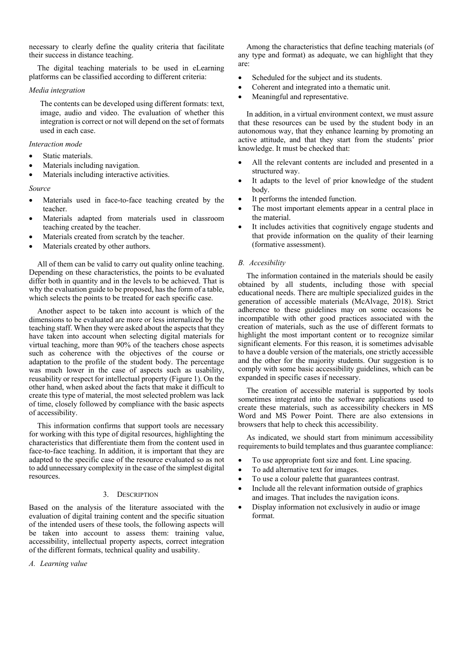necessary to clearly define the quality criteria that facilitate their success in distance teaching.

The digital teaching materials to be used in eLearning platforms can be classified according to different criteria:

## *Media integration*

The contents can be developed using different formats: text, image, audio and video. The evaluation of whether this integration is correct or not will depend on the set of formats used in each case.

## *Interaction mode*

- Static materials.
- Materials including navigation.
- Materials including interactive activities.

#### *Source*

- Materials used in face-to-face teaching created by the teacher.
- Materials adapted from materials used in classroom teaching created by the teacher.
- Materials created from scratch by the teacher.
- Materials created by other authors.

All of them can be valid to carry out quality online teaching. Depending on these characteristics, the points to be evaluated differ both in quantity and in the levels to be achieved. That is why the evaluation guide to be proposed, has the form of a table, which selects the points to be treated for each specific case.

Another aspect to be taken into account is which of the dimensions to be evaluated are more or less internalized by the teaching staff. When they were asked about the aspects that they have taken into account when selecting digital materials for virtual teaching, more than 90% of the teachers chose aspects such as coherence with the objectives of the course or adaptation to the profile of the student body. The percentage was much lower in the case of aspects such as usability, reusability or respect for intellectual property (Figure 1). On the other hand, when asked about the facts that make it difficult to create this type of material, the most selected problem was lack of time, closely followed by compliance with the basic aspects of accessibility.

This information confirms that support tools are necessary for working with this type of digital resources, highlighting the characteristics that differentiate them from the content used in face-to-face teaching. In addition, it is important that they are adapted to the specific case of the resource evaluated so as not to add unnecessary complexity in the case of the simplest digital resources.

### 3. DESCRIPTION

Based on the analysis of the literature associated with the evaluation of digital training content and the specific situation of the intended users of these tools, the following aspects will be taken into account to assess them: training value, accessibility, intellectual property aspects, correct integration of the different formats, technical quality and usability.

*A. Learning value*

Among the characteristics that define teaching materials (of any type and format) as adequate, we can highlight that they are:

- Scheduled for the subject and its students.
- Coherent and integrated into a thematic unit.
- Meaningful and representative.

In addition, in a virtual environment context, we must assure that these resources can be used by the student body in an autonomous way, that they enhance learning by promoting an active attitude, and that they start from the students' prior knowledge. It must be checked that:

- All the relevant contents are included and presented in a structured way.
- It adapts to the level of prior knowledge of the student body.
- It performs the intended function.
- The most important elements appear in a central place in the material.
- It includes activities that cognitively engage students and that provide information on the quality of their learning (formative assessment).

# *B. Accesibility*

The information contained in the materials should be easily obtained by all students, including those with special educational needs. There are multiple specialized guides in the generation of accessible materials (McAlvage, 2018). Strict adherence to these guidelines may on some occasions be incompatible with other good practices associated with the creation of materials, such as the use of different formats to highlight the most important content or to recognize similar significant elements. For this reason, it is sometimes advisable to have a double version of the materials, one strictly accessible and the other for the majority students. Our suggestion is to comply with some basic accessibility guidelines, which can be expanded in specific cases if necessary.

The creation of accessible material is supported by tools sometimes integrated into the software applications used to create these materials, such as accessibility checkers in MS Word and MS Power Point. There are also extensions in browsers that help to check this accessibility.

As indicated, we should start from minimum accessibility requirements to build templates and thus guarantee compliance:

- To use appropriate font size and font. Line spacing.
- To add alternative text for images.
- To use a colour palette that guarantees contrast.
- Include all the relevant information outside of graphics and images. That includes the navigation icons.
- Display information not exclusively in audio or image format.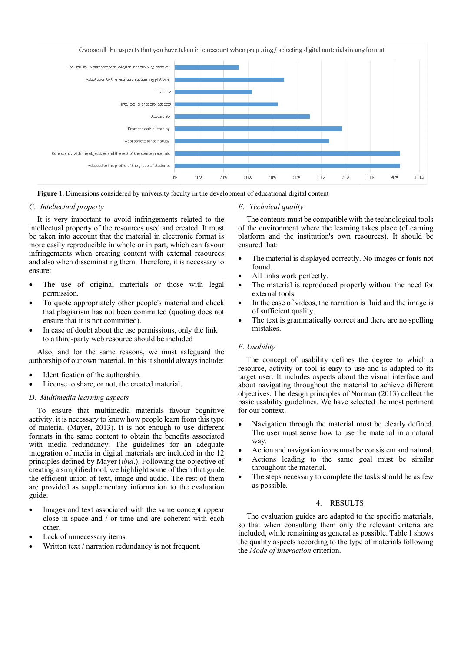

**Figure 1.** Dimensions considered by university faculty in the development of educational digital content

### *C. Intellectual property*

It is very important to avoid infringements related to the intellectual property of the resources used and created. It must be taken into account that the material in electronic format is more easily reproducible in whole or in part, which can favour infringements when creating content with external resources and also when disseminating them. Therefore, it is necessary to ensure:

- The use of original materials or those with legal permission.
- To quote appropriately other people's material and check that plagiarism has not been committed (quoting does not ensure that it is not committed).
- In case of doubt about the use permissions, only the link to a third-party web resource should be included

Also, and for the same reasons, we must safeguard the authorship of our own material. In this it should always include:

- Identification of the authorship.
- License to share, or not, the created material.

## *D. Multimedia learning aspects*

To ensure that multimedia materials favour cognitive activity, it is necessary to know how people learn from this type of material (Mayer, 2013). It is not enough to use different formats in the same content to obtain the benefits associated with media redundancy. The guidelines for an adequate integration of media in digital materials are included in the 12 principles defined by Mayer (*ibid*.). Following the objective of creating a simplified tool, we highlight some of them that guide the efficient union of text, image and audio. The rest of them are provided as supplementary information to the evaluation guide.

- Images and text associated with the same concept appear close in space and / or time and are coherent with each other.
- Lack of unnecessary items.
- Written text / narration redundancy is not frequent.

#### *E. Technical quality*

The contents must be compatible with the technological tools of the environment where the learning takes place (eLearning platform and the institution's own resources). It should be ensured that:

- The material is displayed correctly. No images or fonts not found.
- All links work perfectly.
- The material is reproduced properly without the need for external tools.
- In the case of videos, the narration is fluid and the image is of sufficient quality.
- The text is grammatically correct and there are no spelling mistakes.

## *F. Usability*

The concept of usability defines the degree to which a resource, activity or tool is easy to use and is adapted to its target user. It includes aspects about the visual interface and about navigating throughout the material to achieve different objectives. The design principles of Norman (2013) collect the basic usability guidelines. We have selected the most pertinent for our context.

- Navigation through the material must be clearly defined. The user must sense how to use the material in a natural way.
- Action and navigation icons must be consistent and natural.
- Actions leading to the same goal must be similar throughout the material.
- The steps necessary to complete the tasks should be as few as possible.

# 4. RESULTS

The evaluation guides are adapted to the specific materials, so that when consulting them only the relevant criteria are included, while remaining as general as possible. Table 1 shows the quality aspects according to the type of materials following the *Mode of interaction* criterion.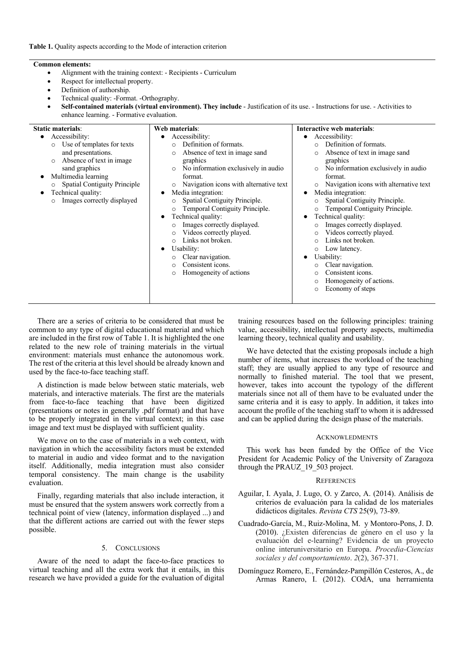## **Common elements:**

• Alignment with the training context: - Recipients - Curriculum

**Web materials**:

- Respect for intellectual property.
- Definition of authorship.
- Technical quality: -Format. -Orthography.
- **Self-contained materials (virtual environment). They include** Justification of its use. Instructions for use. Activities to enhance learning. - Formative evaluation.

# **Static materials**:

| wuun mann mo<br>Accessibility:<br>Use of templates for texts<br>$\circ$<br>and presentations.<br>Absence of text in image.<br>sand graphics<br>Multimedia learning<br><b>Spatial Contiguity Principle</b><br>Technical quality:<br>Images correctly displayed<br>$\circ$ | ,, co materiad<br>Accessibility:<br>$\bullet$<br>Definition of formats.<br>$\Omega$<br>Absence of text in image sand<br>$\circ$<br>graphics<br>No information exclusively in audio<br>$\circ$<br>format.<br>Navigation icons with alternative text<br>$\circ$<br>Media integration:<br>$\bullet$<br>Spatial Contiguity Principle.<br>$\circ$<br>Temporal Contiguity Principle.<br>O<br>Technical quality:<br>$\bullet$<br>Images correctly displayed.<br>$\circ$<br>Videos correctly played.<br>$\circ$<br>Links not broken.<br>$\Omega$<br>Usability:<br>٠<br>Clear navigation.<br>Consistent icons.<br>O<br>Homogeneity of actions<br>O | Accessibility:<br>$\bullet$<br>Definition of formats.<br>$\Omega$<br>Absence of text in image sand<br>$\circ$<br>graphics<br>No information exclusively in audio<br>$\circ$<br>format.<br>Navigation icons with alternative text<br>$\circ$<br>Media integration:<br>$\bullet$<br>Spatial Contiguity Principle.<br>Temporal Contiguity Principle.<br>$\circ$<br>Technical quality:<br>Images correctly displayed.<br>Videos correctly played.<br>$\circ$<br>Links not broken.<br>O<br>Low latency.<br>$\circ$<br>Usability:<br>Clear navigation.<br>$\circ$<br>Consistent icons. |
|--------------------------------------------------------------------------------------------------------------------------------------------------------------------------------------------------------------------------------------------------------------------------|-------------------------------------------------------------------------------------------------------------------------------------------------------------------------------------------------------------------------------------------------------------------------------------------------------------------------------------------------------------------------------------------------------------------------------------------------------------------------------------------------------------------------------------------------------------------------------------------------------------------------------------------|----------------------------------------------------------------------------------------------------------------------------------------------------------------------------------------------------------------------------------------------------------------------------------------------------------------------------------------------------------------------------------------------------------------------------------------------------------------------------------------------------------------------------------------------------------------------------------|
|                                                                                                                                                                                                                                                                          |                                                                                                                                                                                                                                                                                                                                                                                                                                                                                                                                                                                                                                           | Homogeneity of actions.<br>$\circ$<br>Economy of steps<br>$\circ$                                                                                                                                                                                                                                                                                                                                                                                                                                                                                                                |

There are a series of criteria to be considered that must be common to any type of digital educational material and which are included in the first row of Table 1. It is highlighted the one related to the new role of training materials in the virtual environment: materials must enhance the autonomous work. The rest of the criteria at this level should be already known and used by the face-to-face teaching staff.

A distinction is made below between static materials, web materials, and interactive materials. The first are the materials from face-to-face teaching that have been digitized (presentations or notes in generally .pdf format) and that have to be properly integrated in the virtual context; in this case image and text must be displayed with sufficient quality.

We move on to the case of materials in a web context, with navigation in which the accessibility factors must be extended to material in audio and video format and to the navigation itself. Additionally, media integration must also consider temporal consistency. The main change is the usability evaluation.

Finally, regarding materials that also include interaction, it must be ensured that the system answers work correctly from a technical point of view (latency, information displayed ...) and that the different actions are carried out with the fewer steps possible.

# 5. CONCLUSIONS

Aware of the need to adapt the face-to-face practices to virtual teaching and all the extra work that it entails, in this research we have provided a guide for the evaluation of digital training resources based on the following principles: training value, accessibility, intellectual property aspects, multimedia learning theory, technical quality and usability.

**Interactive web materials**:

We have detected that the existing proposals include a high number of items, what increases the workload of the teaching staff; they are usually applied to any type of resource and normally to finished material. The tool that we present, however, takes into account the typology of the different materials since not all of them have to be evaluated under the same criteria and it is easy to apply. In addition, it takes into account the profile of the teaching staff to whom it is addressed and can be applied during the design phase of the materials.

#### **ACKNOWLEDMENTS**

This work has been funded by the Office of the Vice President for Academic Policy of the University of Zaragoza through the PRAUZ 19 503 project.

#### **REFERENCES**

- Aguilar, I. Ayala, J. Lugo, O. y Zarco, A. (2014). Análisis de criterios de evaluación para la calidad de los materiales didácticos digitales. *Revista CTS* 25(9), 73-89.
- Cuadrado-García, M., Ruiz-Molina, M. y Montoro-Pons, J. D. (2010). ¿Existen diferencias de género en el uso y la evaluación del e-learning? Evidencia de un proyecto online interuniversitario en Europa. *Procedia-Ciencias sociales y del comportamiento*. *2*(2), 367-371.
- Domínguez Romero, E., Fernández-Pampillón Cesteros, A., de Armas Ranero, I. (2012). COdA, una herramienta